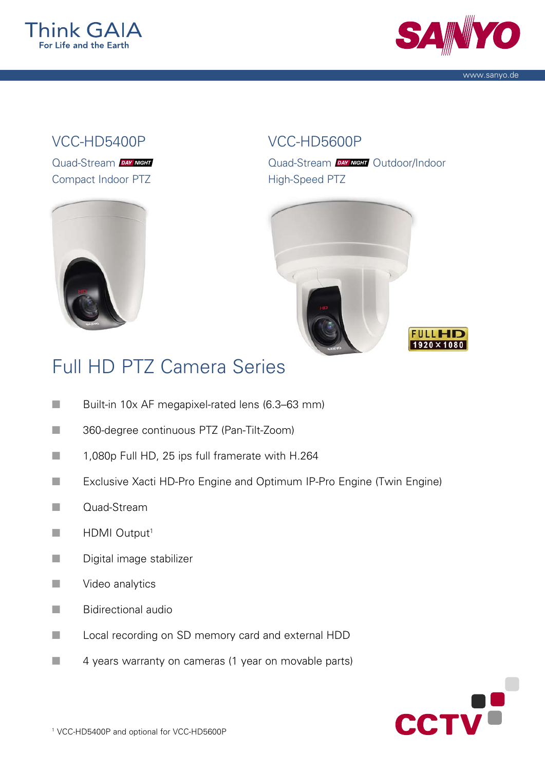



www.sanyo.de

## VCC-HD5400P

Quad-Stream DAY NIGHT Compact Indoor PTZ



## VCC-HD5600P

Quad-Stream DAY MIGHT Outdoor/Indoor High-Speed PTZ





## Full HD PTZ Camera Series

- Built-in 10x AF megapixel-rated lens (6.3–63 mm)
- 360-degree continuous PTZ (Pan-Tilt-Zoom)
- 1,080p Full HD, 25 ips full framerate with H.264
- ■■■ Exclusive Xacti HD-Pro Engine and Optimum IP-Pro Engine (Twin Engine)
- n Quad-Stream
- $\blacksquare$  HDMI Output<sup>1</sup>
- **n** Digital image stabilizer
- $\blacksquare$  Video analytics
- **n** Bidirectional audio
- ■■■ Local recording on SD memory card and external HDD
- $\blacksquare$  4 years warranty on cameras (1 year on movable parts)